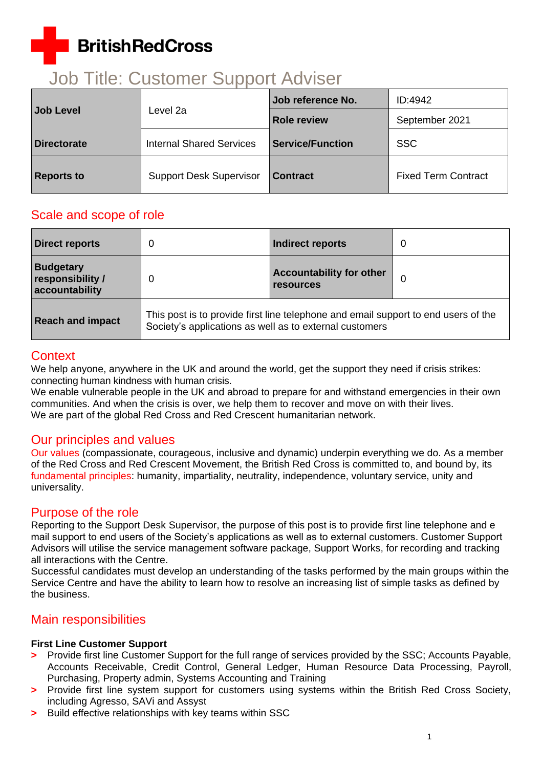# **BritishRedCross**

## Job Title: Customer Support Adviser

| Job Level          | Level 2a                        | <b>Job reference No.</b> | ID:4942                    |
|--------------------|---------------------------------|--------------------------|----------------------------|
|                    |                                 | <b>Role review</b>       | September 2021             |
| <b>Directorate</b> | <b>Internal Shared Services</b> | <b>Service/Function</b>  | <b>SSC</b>                 |
| <b>Reports to</b>  | <b>Support Desk Supervisor</b>  | <b>Contract</b>          | <b>Fixed Term Contract</b> |

## Scale and scope of role

| <b>Direct reports</b>                                  |                                                                                                                                               | Indirect reports                                    | 0 |
|--------------------------------------------------------|-----------------------------------------------------------------------------------------------------------------------------------------------|-----------------------------------------------------|---|
| <b>Budgetary</b><br>responsibility /<br>accountability | 0                                                                                                                                             | <b>Accountability for other</b><br><b>resources</b> | 0 |
| <b>Reach and impact</b>                                | This post is to provide first line telephone and email support to end users of the<br>Society's applications as well as to external customers |                                                     |   |

## **Context**

We help anyone, anywhere in the UK and around the world, get the support they need if crisis strikes: connecting human kindness with human crisis.

We enable vulnerable people in the UK and abroad to prepare for and withstand emergencies in their own communities. And when the crisis is over, we help them to recover and move on with their lives. We are part of the global Red Cross and Red Crescent humanitarian network.

## Our principles and values

[Our values](http://www.redcross.org.uk/About-us/Who-we-are/Our-values) (compassionate, courageous, inclusive and dynamic) underpin everything we do. As a member of the Red Cross and Red Crescent Movement, the British Red Cross is committed to, and bound by, its [fundamental principles:](http://www.redcross.org.uk/principles) humanity, impartiality, neutrality, independence, voluntary service, unity and universality.

## Purpose of the role

Reporting to the Support Desk Supervisor, the purpose of this post is to provide first line telephone and e mail support to end users of the Society's applications as well as to external customers. Customer Support Advisors will utilise the service management software package, Support Works, for recording and tracking all interactions with the Centre.

Successful candidates must develop an understanding of the tasks performed by the main groups within the Service Centre and have the ability to learn how to resolve an increasing list of simple tasks as defined by the business.

## Main responsibilities

#### **First Line Customer Support**

- **>** Provide first line Customer Support for the full range of services provided by the SSC; Accounts Payable, Accounts Receivable, Credit Control, General Ledger, Human Resource Data Processing, Payroll, Purchasing, Property admin, Systems Accounting and Training
- **>** Provide first line system support for customers using systems within the British Red Cross Society, including Agresso, SAVi and Assyst
- **>** Build effective relationships with key teams within SSC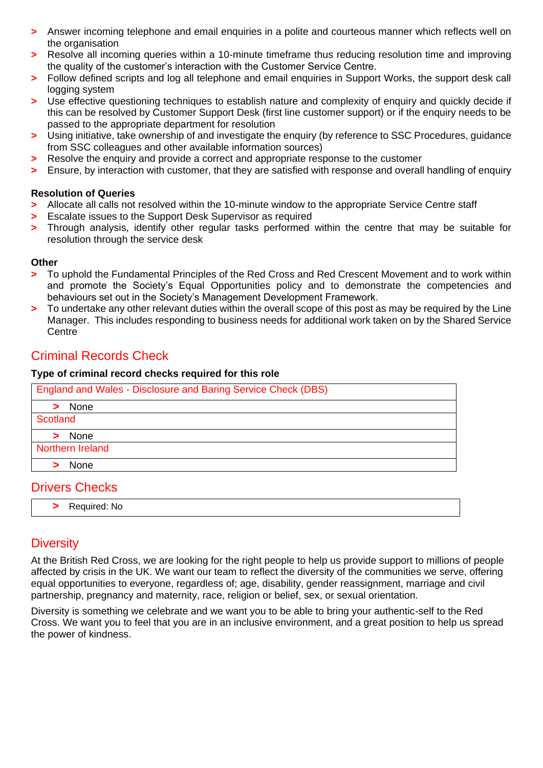- **>** Answer incoming telephone and email enquiries in a polite and courteous manner which reflects well on the organisation
- **>** Resolve all incoming queries within a 10-minute timeframe thus reducing resolution time and improving the quality of the customer's interaction with the Customer Service Centre.
- **>** Follow defined scripts and log all telephone and email enquiries in Support Works, the support desk call logging system
- **>** Use effective questioning techniques to establish nature and complexity of enquiry and quickly decide if this can be resolved by Customer Support Desk (first line customer support) or if the enquiry needs to be passed to the appropriate department for resolution
- **>** Using initiative, take ownership of and investigate the enquiry (by reference to SSC Procedures, guidance from SSC colleagues and other available information sources)
- **>** Resolve the enquiry and provide a correct and appropriate response to the customer
- **>** Ensure, by interaction with customer, that they are satisfied with response and overall handling of enquiry

#### **Resolution of Queries**

- **>** Allocate all calls not resolved within the 10-minute window to the appropriate Service Centre staff
- **>** Escalate issues to the Support Desk Supervisor as required
- **>** Through analysis, identify other regular tasks performed within the centre that may be suitable for resolution through the service desk

#### **Other**

- **>** To uphold the Fundamental Principles of the Red Cross and Red Crescent Movement and to work within and promote the Society's Equal Opportunities policy and to demonstrate the competencies and behaviours set out in the Society's Management Development Framework.
- **>** To undertake any other relevant duties within the overall scope of this post as may be required by the Line Manager. This includes responding to business needs for additional work taken on by the Shared Service **Centre**

## Criminal Records Check

#### **Type of criminal record checks required for this role**

| England and Wales - Disclosure and Baring Service Check (DBS) |
|---------------------------------------------------------------|
| > None                                                        |
| Scotland                                                      |
| None                                                          |
| Northern Ireland                                              |
| None                                                          |

## Drivers Checks

**>** Required: No

## **Diversity**

At the British Red Cross, we are looking for the right people to help us provide support to millions of people affected by crisis in the UK. We want our team to reflect the diversity of the communities we serve, offering equal opportunities to everyone, regardless of; age, disability, gender reassignment, marriage and civil partnership, pregnancy and maternity, race, religion or belief, sex, or sexual orientation.

Diversity is something we celebrate and we want you to be able to bring your authentic-self to the Red Cross. We want you to feel that you are in an inclusive environment, and a great position to help us spread the power of kindness.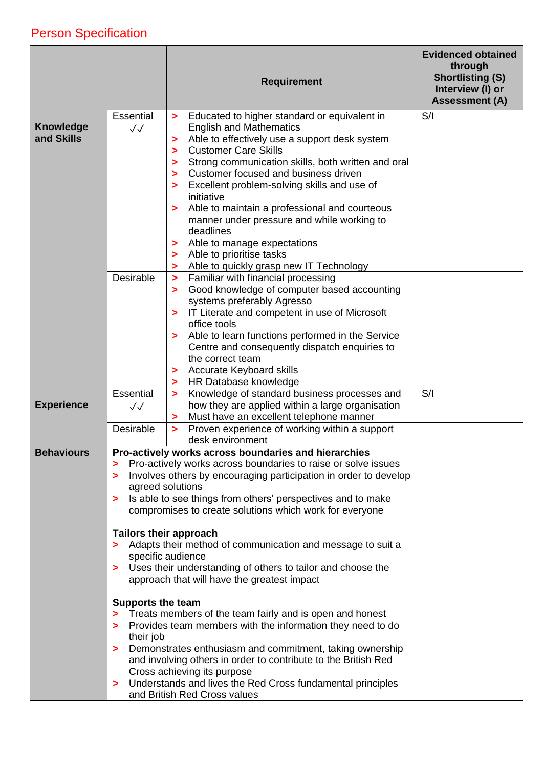## Person Specification

|                                |                                                      | <b>Requirement</b>                                                                                                                                                                                                                                                                                                                                                                                                                                                                                                                                                                                 | <b>Evidenced obtained</b><br>through<br><b>Shortlisting (S)</b><br>Interview (I) or<br><b>Assessment (A)</b> |
|--------------------------------|------------------------------------------------------|----------------------------------------------------------------------------------------------------------------------------------------------------------------------------------------------------------------------------------------------------------------------------------------------------------------------------------------------------------------------------------------------------------------------------------------------------------------------------------------------------------------------------------------------------------------------------------------------------|--------------------------------------------------------------------------------------------------------------|
| <b>Knowledge</b><br>and Skills | Essential<br>$\sqrt{\sqrt{2}}$                       | Educated to higher standard or equivalent in<br>><br><b>English and Mathematics</b><br>Able to effectively use a support desk system<br>><br><b>Customer Care Skills</b><br>><br>Strong communication skills, both written and oral<br>><br>Customer focused and business driven<br>><br>Excellent problem-solving skills and use of<br>><br>initiative<br>Able to maintain a professional and courteous<br>><br>manner under pressure and while working to<br>deadlines<br>Able to manage expectations<br>$\geq$<br>Able to prioritise tasks<br>><br>Able to quickly grasp new IT Technology<br>> | S/I                                                                                                          |
|                                | Desirable                                            | Familiar with financial processing<br>$\geq$<br>Good knowledge of computer based accounting<br>><br>systems preferably Agresso<br>IT Literate and competent in use of Microsoft<br>><br>office tools<br>Able to learn functions performed in the Service<br>><br>Centre and consequently dispatch enquiries to<br>the correct team<br><b>Accurate Keyboard skills</b><br>><br>HR Database knowledge<br>>                                                                                                                                                                                           |                                                                                                              |
| <b>Experience</b>              | Essential<br>$\checkmark$                            | Knowledge of standard business processes and<br>$\geq$<br>how they are applied within a large organisation<br>Must have an excellent telephone manner<br>>                                                                                                                                                                                                                                                                                                                                                                                                                                         | S/I                                                                                                          |
|                                | Desirable                                            | Proven experience of working within a support<br>$\geq$<br>desk environment                                                                                                                                                                                                                                                                                                                                                                                                                                                                                                                        |                                                                                                              |
| <b>Behaviours</b>              | ⋗<br>><br>agreed solutions<br>⋗                      | Pro-actively works across boundaries and hierarchies<br>Pro-actively works across boundaries to raise or solve issues<br>Involves others by encouraging participation in order to develop<br>Is able to see things from others' perspectives and to make<br>compromises to create solutions which work for everyone                                                                                                                                                                                                                                                                                |                                                                                                              |
|                                | <b>Tailors their approach</b><br>><br>$\geq$         | Adapts their method of communication and message to suit a<br>specific audience<br>Uses their understanding of others to tailor and choose the<br>approach that will have the greatest impact                                                                                                                                                                                                                                                                                                                                                                                                      |                                                                                                              |
|                                | <b>Supports the team</b><br>><br>their job<br>⋗<br>⋗ | Treats members of the team fairly and is open and honest<br>Provides team members with the information they need to do<br>Demonstrates enthusiasm and commitment, taking ownership<br>and involving others in order to contribute to the British Red<br>Cross achieving its purpose<br>Understands and lives the Red Cross fundamental principles<br>and British Red Cross values                                                                                                                                                                                                                  |                                                                                                              |